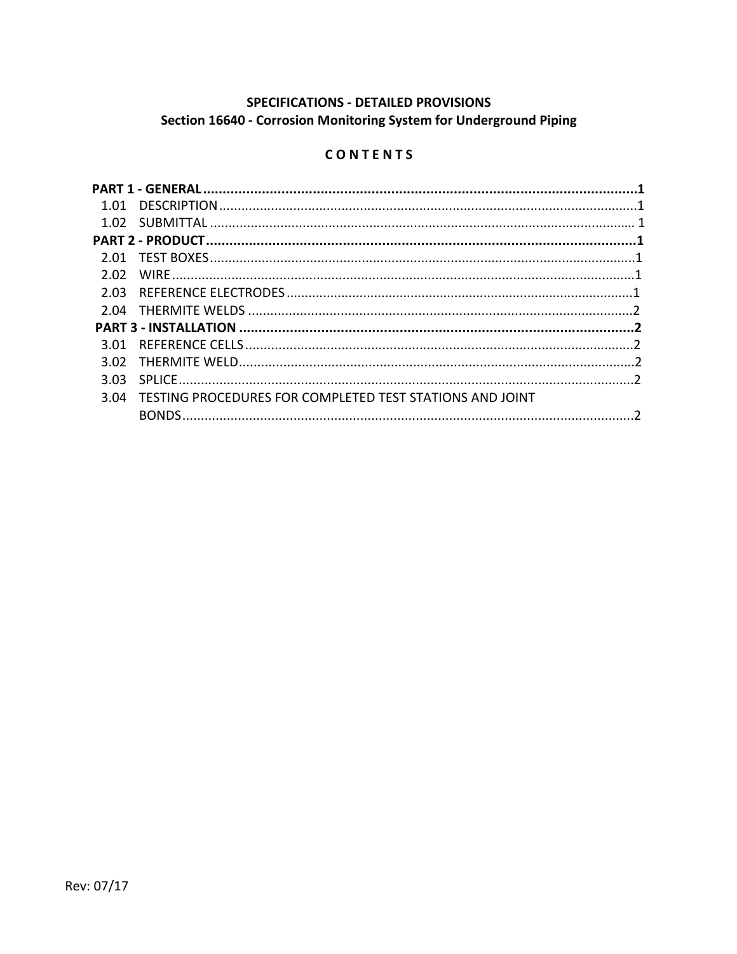# SPECIFICATIONS - DETAILED PROVISIONS Section 16640 - Corrosion Monitoring System for Underground Piping

# CONTENTS

| 1.01 |                                                          |  |  |
|------|----------------------------------------------------------|--|--|
|      |                                                          |  |  |
|      |                                                          |  |  |
| 2.01 |                                                          |  |  |
| 2.02 |                                                          |  |  |
| 2.03 |                                                          |  |  |
|      |                                                          |  |  |
|      |                                                          |  |  |
| 3.01 |                                                          |  |  |
| 3.02 |                                                          |  |  |
| 3.03 |                                                          |  |  |
| 3.04 | TESTING PROCEDURES FOR COMPLETED TEST STATIONS AND JOINT |  |  |
|      |                                                          |  |  |
|      |                                                          |  |  |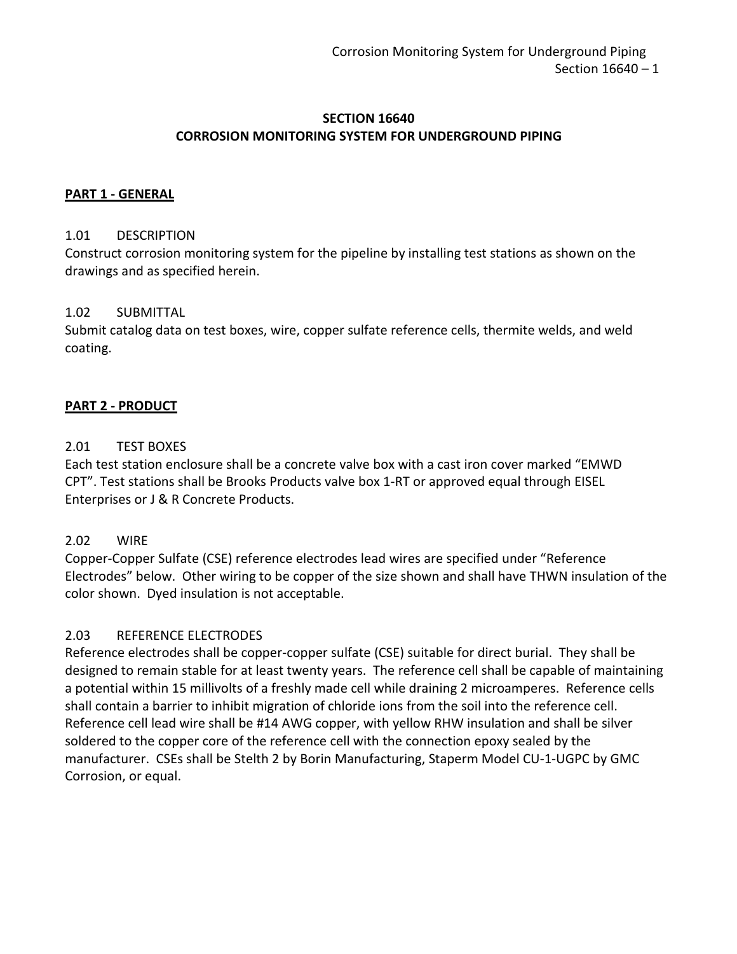### **SECTION 16640 CORROSION MONITORING SYSTEM FOR UNDERGROUND PIPING**

#### **PART 1 - GENERAL**

#### 1.01 DESCRIPTION

Construct corrosion monitoring system for the pipeline by installing test stations as shown on the drawings and as specified herein.

#### 1.02 SUBMITTAL

Submit catalog data on test boxes, wire, copper sulfate reference cells, thermite welds, and weld coating.

### **PART 2 - PRODUCT**

#### 2.01 TEST BOXES

Each test station enclosure shall be a concrete valve box with a cast iron cover marked "EMWD CPT". Test stations shall be Brooks Products valve box 1-RT or approved equal through EISEL Enterprises or J & R Concrete Products.

### 2.02 WIRE

Copper-Copper Sulfate (CSE) reference electrodes lead wires are specified under "Reference Electrodes" below. Other wiring to be copper of the size shown and shall have THWN insulation of the color shown. Dyed insulation is not acceptable.

### 2.03 REFERENCE ELECTRODES

Reference electrodes shall be copper-copper sulfate (CSE) suitable for direct burial. They shall be designed to remain stable for at least twenty years. The reference cell shall be capable of maintaining a potential within 15 millivolts of a freshly made cell while draining 2 microamperes. Reference cells shall contain a barrier to inhibit migration of chloride ions from the soil into the reference cell. Reference cell lead wire shall be #14 AWG copper, with yellow RHW insulation and shall be silver soldered to the copper core of the reference cell with the connection epoxy sealed by the manufacturer. CSEs shall be Stelth 2 by Borin Manufacturing, Staperm Model CU-1-UGPC by GMC Corrosion, or equal.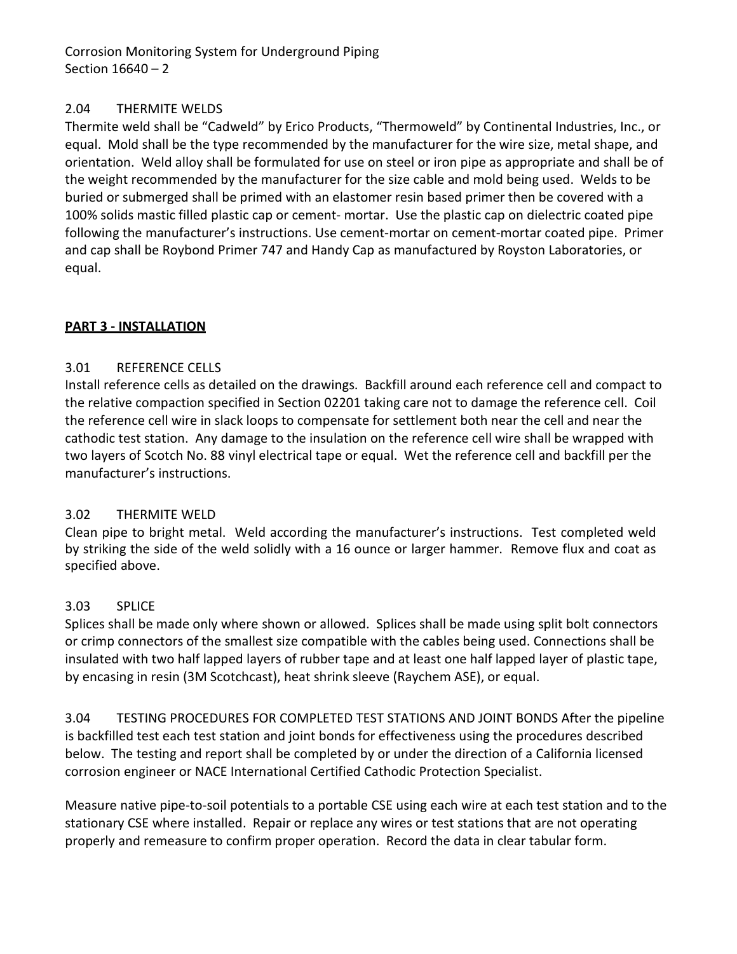Corrosion Monitoring System for Underground Piping Section 16640 – 2

## 2.04 THERMITE WELDS

Thermite weld shall be "Cadweld" by Erico Products, "Thermoweld" by Continental Industries, Inc., or equal. Mold shall be the type recommended by the manufacturer for the wire size, metal shape, and orientation. Weld alloy shall be formulated for use on steel or iron pipe as appropriate and shall be of the weight recommended by the manufacturer for the size cable and mold being used. Welds to be buried or submerged shall be primed with an elastomer resin based primer then be covered with a 100% solids mastic filled plastic cap or cement- mortar. Use the plastic cap on dielectric coated pipe following the manufacturer's instructions. Use cement-mortar on cement-mortar coated pipe. Primer and cap shall be Roybond Primer 747 and Handy Cap as manufactured by Royston Laboratories, or equal.

## **PART 3 - INSTALLATION**

## 3.01 REFERENCE CELLS

Install reference cells as detailed on the drawings. Backfill around each reference cell and compact to the relative compaction specified in Section 02201 taking care not to damage the reference cell. Coil the reference cell wire in slack loops to compensate for settlement both near the cell and near the cathodic test station. Any damage to the insulation on the reference cell wire shall be wrapped with two layers of Scotch No. 88 vinyl electrical tape or equal. Wet the reference cell and backfill per the manufacturer's instructions.

## 3.02 THERMITE WELD

Clean pipe to bright metal. Weld according the manufacturer's instructions. Test completed weld by striking the side of the weld solidly with a 16 ounce or larger hammer. Remove flux and coat as specified above.

# 3.03 SPLICE

Splices shall be made only where shown or allowed. Splices shall be made using split bolt connectors or crimp connectors of the smallest size compatible with the cables being used. Connections shall be insulated with two half lapped layers of rubber tape and at least one half lapped layer of plastic tape, by encasing in resin (3M Scotchcast), heat shrink sleeve (Raychem ASE), or equal.

3.04 TESTING PROCEDURES FOR COMPLETED TEST STATIONS AND JOINT BONDS After the pipeline is backfilled test each test station and joint bonds for effectiveness using the procedures described below. The testing and report shall be completed by or under the direction of a California licensed corrosion engineer or NACE International Certified Cathodic Protection Specialist.

Measure native pipe-to-soil potentials to a portable CSE using each wire at each test station and to the stationary CSE where installed. Repair or replace any wires or test stations that are not operating properly and remeasure to confirm proper operation. Record the data in clear tabular form.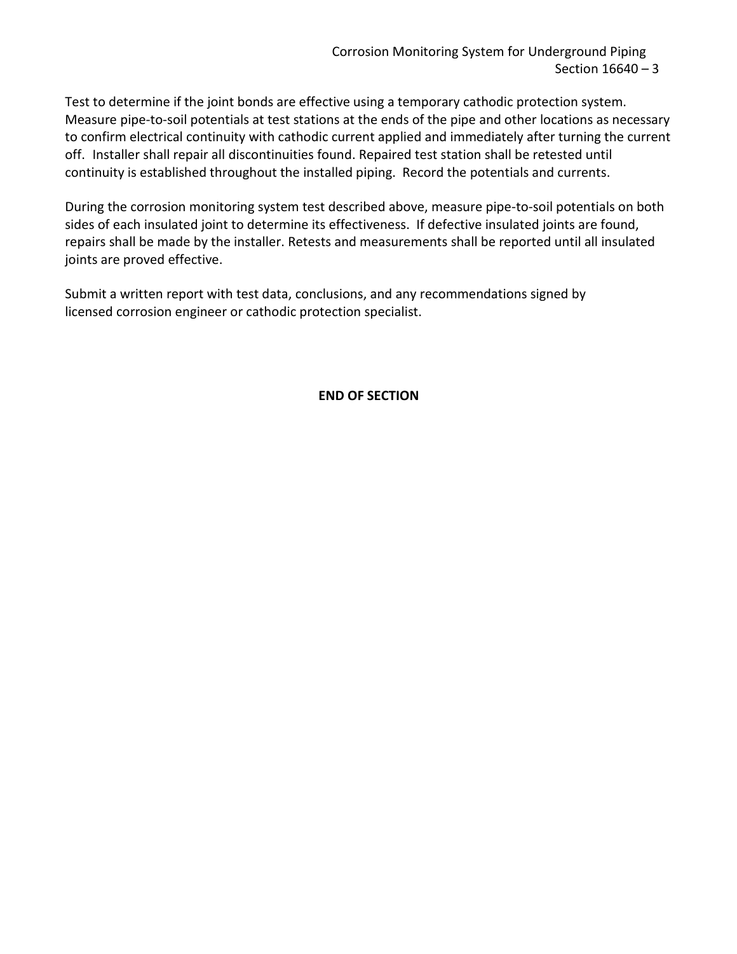Test to determine if the joint bonds are effective using a temporary cathodic protection system. Measure pipe-to-soil potentials at test stations at the ends of the pipe and other locations as necessary to confirm electrical continuity with cathodic current applied and immediately after turning the current off. Installer shall repair all discontinuities found. Repaired test station shall be retested until continuity is established throughout the installed piping. Record the potentials and currents.

During the corrosion monitoring system test described above, measure pipe-to-soil potentials on both sides of each insulated joint to determine its effectiveness. If defective insulated joints are found, repairs shall be made by the installer. Retests and measurements shall be reported until all insulated joints are proved effective.

Submit a written report with test data, conclusions, and any recommendations signed by licensed corrosion engineer or cathodic protection specialist.

**END OF SECTION**